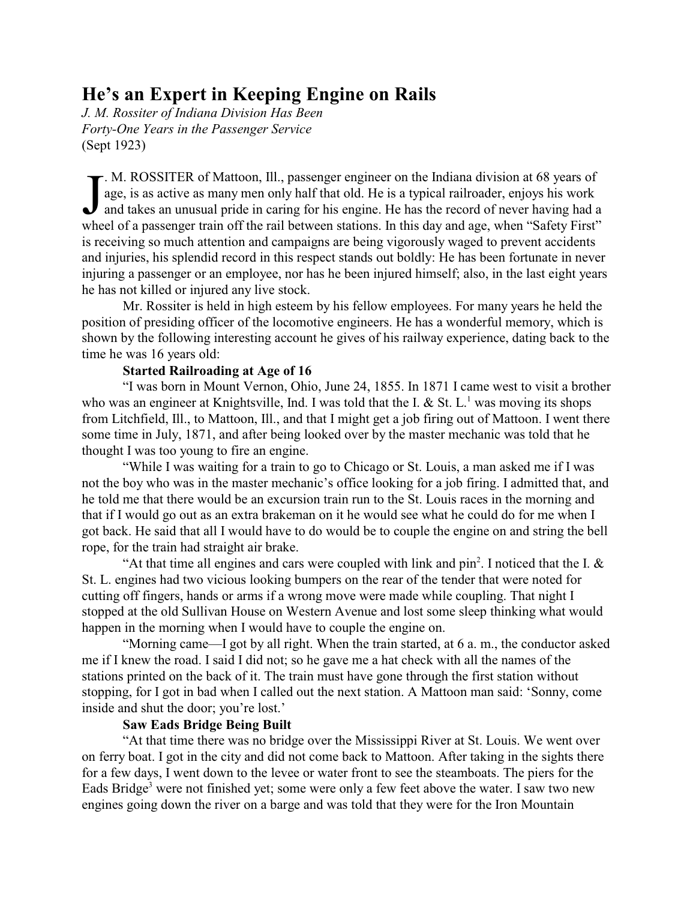## **He's an Expert in Keeping Engine on Rails**

*J. M. Rossiter of Indiana Division Has Been Forty-One Years in the Passenger Service* (Sept 1923)

 $\int$ . M. ROSSITER of Mattoon, Ill., passenger engineer on the Indiana division at 68 years of age, is as active as many men only half that old. He is a typical railroader, enjoys his work and takes an unusual pride in caring for his engine. He has the record of never having had a wheel of a passenger train off the rail between stations. In this day and age, when "Safety First" is receiving so much attention and campaigns are being vigorously waged to prevent accidents and injuries, his splendid record in this respect stands out boldly: He has been fortunate in never injuring a passenger or an employee, nor has he been injured himself; also, in the last eight years he has not killed or injured any live stock.

Mr. Rossiter is held in high esteem by his fellow employees. For many years he held the position of presiding officer of the locomotive engineers. He has a wonderful memory, which is shown by the following interesting account he gives of his railway experience, dating back to the time he was 16 years old:

## **Started Railroading at Age of 16**

"I was born in Mount Vernon, Ohio, June 24, 1855. In 1871 I came west to visit a brother who was an engineer at Knightsville, Ind. I was told that the I.  $\&$  St. L.<sup>1</sup> was moving its shops from Litchfield, Ill., to Mattoon, Ill., and that I might get a job firing out of Mattoon. I went there some time in July, 1871, and after being looked over by the master mechanic was told that he thought I was too young to fire an engine.

"While I was waiting for a train to go to Chicago or St. Louis, a man asked me if I was not the boy who was in the master mechanic's office looking for a job firing. I admitted that, and he told me that there would be an excursion train run to the St. Louis races in the morning and that if I would go out as an extra brakeman on it he would see what he could do for me when I got back. He said that all I would have to do would be to couple the engine on and string the bell rope, for the train had straight air brake.

"At that time all engines and cars were coupled with link and  $pin<sup>2</sup>$ . I noticed that the I.  $&$ St. L. engines had two vicious looking bumpers on the rear of the tender that were noted for cutting off fingers, hands or arms if a wrong move were made while coupling. That night I stopped at the old Sullivan House on Western Avenue and lost some sleep thinking what would happen in the morning when I would have to couple the engine on.

"Morning came—I got by all right. When the train started, at 6 a. m., the conductor asked me if I knew the road. I said I did not; so he gave me a hat check with all the names of the stations printed on the back of it. The train must have gone through the first station without stopping, for I got in bad when I called out the next station. A Mattoon man said: 'Sonny, come inside and shut the door; you're lost.'

## **Saw Eads Bridge Being Built**

"At that time there was no bridge over the Mississippi River at St. Louis. We went over on ferry boat. I got in the city and did not come back to Mattoon. After taking in the sights there for a few days, I went down to the levee or water front to see the steamboats. The piers for the Eads Bridge<sup>3</sup> were not finished yet; some were only a few feet above the water. I saw two new engines going down the river on a barge and was told that they were for the Iron Mountain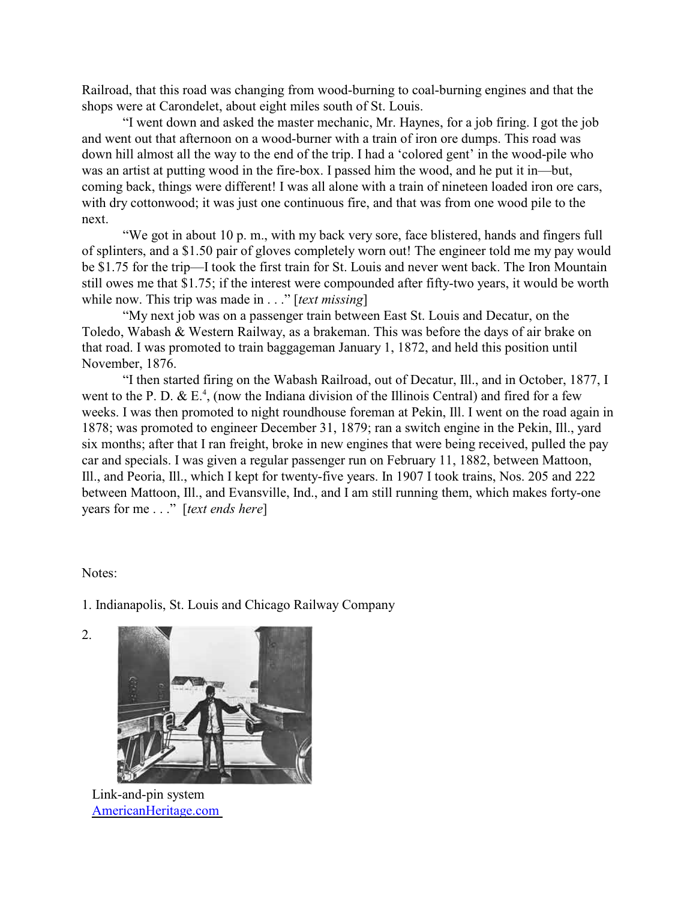Railroad, that this road was changing from wood-burning to coal-burning engines and that the shops were at Carondelet, about eight miles south of St. Louis.

"I went down and asked the master mechanic, Mr. Haynes, for a job firing. I got the job and went out that afternoon on a wood-burner with a train of iron ore dumps. This road was down hill almost all the way to the end of the trip. I had a 'colored gent' in the wood-pile who was an artist at putting wood in the fire-box. I passed him the wood, and he put it in—but, coming back, things were different! I was all alone with a train of nineteen loaded iron ore cars, with dry cottonwood; it was just one continuous fire, and that was from one wood pile to the next.

"We got in about 10 p. m., with my back very sore, face blistered, hands and fingers full of splinters, and a \$1.50 pair of gloves completely worn out! The engineer told me my pay would be \$1.75 for the trip—I took the first train for St. Louis and never went back. The Iron Mountain still owes me that \$1.75; if the interest were compounded after fifty-two years, it would be worth while now. This trip was made in . . ." [*text missing*]

"My next job was on a passenger train between East St. Louis and Decatur, on the Toledo, Wabash & Western Railway, as a brakeman. This was before the days of air brake on that road. I was promoted to train baggageman January 1, 1872, and held this position until November, 1876.

"I then started firing on the Wabash Railroad, out of Decatur, Ill., and in October, 1877, I went to the P. D. & E.<sup>4</sup>, (now the Indiana division of the Illinois Central) and fired for a few weeks. I was then promoted to night roundhouse foreman at Pekin, Ill. I went on the road again in 1878; was promoted to engineer December 31, 1879; ran a switch engine in the Pekin, Ill., yard six months; after that I ran freight, broke in new engines that were being received, pulled the pay car and specials. I was given a regular passenger run on February 11, 1882, between Mattoon, Ill., and Peoria, Ill., which I kept for twenty-five years. In 1907 I took trains, Nos. 205 and 222 between Mattoon, Ill., and Evansville, Ind., and I am still running them, which makes forty-one years for me . . ." [*text ends here*]

## Notes:

<span id="page-1-0"></span>2.

1. Indianapolis, St. Louis and Chicago Railway Company



Link-and-pin system [AmericanHeritage.com](#page-1-0)